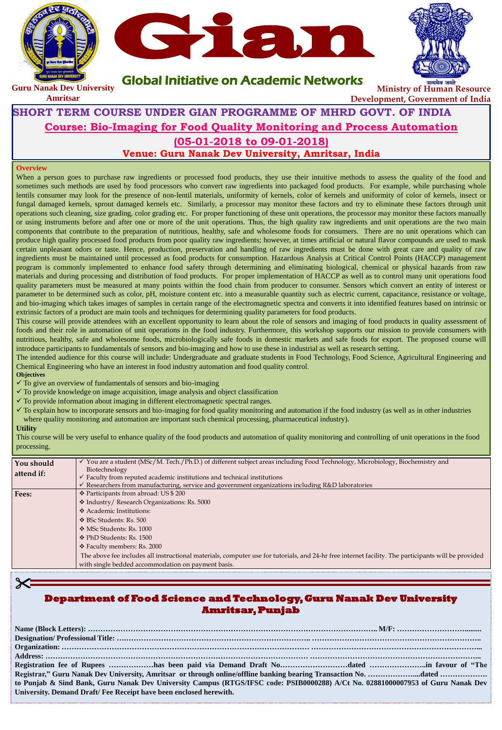#### **Overview**

When a person goes to purchase raw ingredients or processed food products, they use their intuitive methods to assess the quality of the food and sometimes such methods are used by food processors who convert raw ingredients into packaged food products. For example, while purchasing whole lentils consumer may look for the presence of non-lentil materials, uniformity of kernels, color of kernels and uniformity of color of kernels, insect or fungal damaged kernels, sprout damaged kernels etc. Similarly, a processor may monitor these factors and try to eliminate these factors through unit operations such cleaning, size grading, color grading etc. For proper functioning of these unit operations, the processor may monitor these factors manually or using instruments before and after one or more of the unit operations. Thus, the high quality raw ingredients and unit operations are the two main components that contribute to the preparation of nutritious, healthy, safe and wholesome foods for consumers. There are no unit operations which can produce high quality processed food products from poor quality raw ingredients; however, at times artificial or natural flavor compounds are used to mask certain unpleasant odors or taste. Hence, production, preservation and handling of raw ingredients must be done with great care and quality of raw ingredients must be maintained until processed as food products for consumption. Hazardous Analysis at Critical Control Points (HACCP) management program is commonly implemented to enhance food safety through determining and eliminating biological, chemical or physical hazards from raw materials and during processing and distribution of food products. For proper implementation of HACCP as well as to control many unit operations food quality parameters must be measured at many points within the food chain from producer to consumer. Sensors which convert an entity of interest or parameter to be determined such as color, pH, moisture content etc. into a measurable quantity such as electric current, capacitance, resistance or voltage, and bio-imaging which takes images of samples in certain range of the electromagnetic spectra and converts it into identified features based on intrinsic or extrinsic factors of a product are main tools and techniques for determining quality parameters for food products.

| You should | √ You are a student (MSc/M. Tech./Ph.D.) of different subject areas including Food Technology, Microbiology, Biochemistry and |
|------------|-------------------------------------------------------------------------------------------------------------------------------|
| attend if: | Biotechnology                                                                                                                 |
|            | $\forall$ Faculty from reputed academic institutions and technical institutions                                               |

This course will provide attendees with an excellent opportunity to learn about the role of sensors and imaging of food products in quality assessment of foods and their role in automation of unit operations in the food industry. Furthermore, this workshop supports our mission to provide consumers with nutritious, healthy, safe and wholesome foods, microbiologically safe foods in domestic markets and safe foods for export. The proposed course will introduce participants to fundamentals of sensors and bio-imaging and how to use these in industrial as well as research setting.

The intended audience for this course will include: Undergraduate and graduate students in Food Technology, Food Science, Agricultural Engineering and Chemical Engineering who have an interest in food industry automation and food quality control.

#### **Objectives**

- $\checkmark$  To give an overview of fundamentals of sensors and bio-imaging
- $\checkmark$  To provide knowledge on image acquisition, image analysis and object classification
- $\checkmark$  To provide information about imaging in different electromagnetic spectral ranges.
- $\checkmark$  To explain how to incorporate sensors and bio-imaging for food quality monitoring and automation if the food industry (as well as in other industries where quality monitoring and automation are important such chemical processing, pharmaceutical industry).

#### **Utility**

 $\times$ 

This course will be very useful to enhance quality of the food products and automation of quality monitoring and controlling of unit operations in the food processing.

|              | $\checkmark$ Researchers from manufacturing, service and government organizations including R&D laboratories                                        |
|--------------|-----------------------------------------------------------------------------------------------------------------------------------------------------|
| <b>Fees:</b> | ❖ Participants from abroad: US \$ 200                                                                                                               |
|              | * Industry/ Research Organizations: Rs. 5000                                                                                                        |
|              | ❖ Academic Institutions:                                                                                                                            |
|              | ❖ BSc Students: Rs. 500                                                                                                                             |
|              | ❖ MSc Students: Rs. 1000                                                                                                                            |
|              | ❖ PhD Students: Rs. 1500                                                                                                                            |
|              | ❖ Faculty members: Rs. 2000                                                                                                                         |
|              | The above fee includes all instructional materials, computer use for tutorials, and 24-hr free internet facility. The participants will be provided |
|              | with single bedded accommodation on payment basis.                                                                                                  |

#### **Department of Food Science and Technology, Guru Nanak Dev University Amritsar, Punjab**

| to Punjab & Sind Bank, Guru Nanak Dev University Campus (RTGS/IFSC code: PSIB0000288) A/Ct No. 02881000007953 of Guru Nanak Dev |  |
|---------------------------------------------------------------------------------------------------------------------------------|--|
| University. Demand Draft/Fee Receipt have been enclosed herewith.                                                               |  |



Global Initiative on Academic Networks



## **SHORT TERM COURSE UNDER GIAN PROGRAMME OF MHRD GOVT. OF INDIA Course: Bio-Imaging for Food Quality Monitoring and Process Automation (05-01-2018 to 09-01-2018) Venue: Guru Nanak Dev University, Amritsar, India**



**Amritsar**

**Ministry of Human Resource Development, Government of India**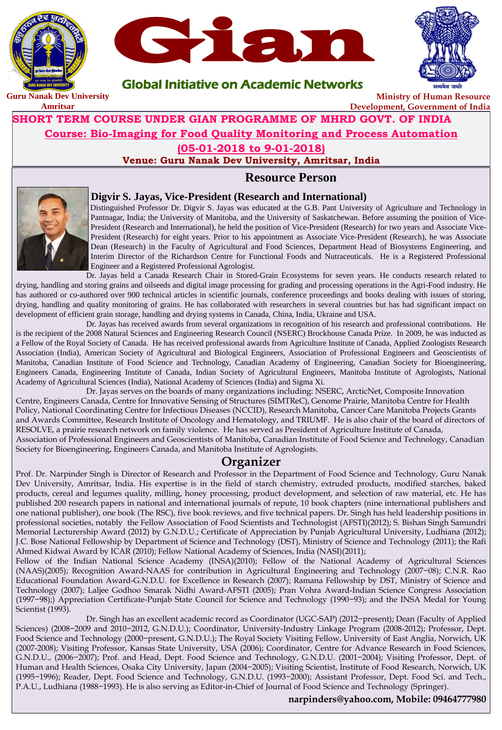# **Resource Person**



### **Digvir S. Jayas, Vice-President (Research and International)**

Distinguished Professor Dr. Digvir S. Jayas was educated at the G.B. Pant University of Agriculture and Technology in Pantnagar, India; the University of Manitoba, and the University of Saskatchewan. Before assuming the position of Vice-President (Research and International), he held the position of Vice-President (Research) for two years and Associate Vice-President (Research) for eight years. Prior to his appointment as Associate Vice-President (Research), he was Associate Dean (Research) in the Faculty of Agricultural and Food Sciences, Department Head of Biosystems Engineering, and Interim Director of the Richardson Centre for Functional Foods and Nutraceuticals. He is a Registered Professional Engineer and a Registered Professional Agrologist.

Dr. Jayas held a Canada Research Chair in Stored-Grain Ecosystems for seven years. He conducts research related to drying, handling and storing grains and oilseeds and digital image processing for grading and processing operations in the Agri-Food industry. He has authored or co-authored over 900 technical articles in scientific journals, conference proceedings and books dealing with issues of storing, drying, handling and quality monitoring of grains. He has collaborated with researchers in several countries but has had significant impact on development of efficient grain storage, handling and drying systems in Canada, China, India, Ukraine and USA.

Dr. Jayas has received awards from several organizations in recognition of his research and professional contributions. He is the recipient of the 2008 Natural Sciences and Engineering Research Council (NSERC) Brockhouse Canada Prize. In 2009, he was inducted as a Fellow of the Royal Society of Canada. He has received professional awards from Agriculture Institute of Canada, Applied Zoologists Research Association (India), American Society of Agricultural and Biological Engineers, Association of Professional Engineers and Geoscientists of Manitoba, Canadian Institute of Food Science and Technology, Canadian Academy of Engineering, Canadian Society for Bioengineering, Engineers Canada, Engineering Institute of Canada, Indian Society of Agricultural Engineers, Manitoba Institute of Agrologists, National Academy of Agricultural Sciences (India), National Academy of Sciences (India) and Sigma Xi.

Dr. Jayas serves on the boards of many organizations including: NSERC, ArcticNet, Composite Innovation Centre, Engineers Canada, Centre for Innovative Sensing of Structures (SIMTReC), Genome Prairie, Manitoba Centre for Health Policy, National Coordinating Centre for Infectious Diseases (NCCID), Research Manitoba, Cancer Care Manitoba Projects Grants and Awards Committee, Research Institute of Oncology and Hematology, and TRIUMF. He is also chair of the board of directors of RESOLVE, a prairie research network on family violence. He has served as President of Agriculture Institute of Canada, Association of Professional Engineers and Geoscientists of Manitoba, Canadian Institute of Food Science and Technology, Canadian Society for Bioengineering, Engineers Canada, and Manitoba Institute of Agrologists.

## **Organizer**

Prof. Dr. Narpinder Singh is Director of Research and Professor in the Department of Food Science and Technology, Guru Nanak Dev University, Amritsar, India. His expertise is in the field of starch chemistry, extruded products, modified starches, baked products, cereal and legumes quality, milling, honey processing, product development, and selection of raw material, etc. He has published 200 research papers in national and international journals of repute, 10 book chapters (nine international publishers and one national publisher), one book (The RSC), five book reviews, and five technical papers. Dr. Singh has held leadership positions in professional societies, notably the Fellow Association of Food Scientists and Technologist (AFSTI)(2012); S. Bishan Singh Samundri Memorial Lecturership Award (2012) by G.N.D.U.; Certificate of Appreciation by Punjab Agricultural University, Ludhiana (2012); J.C. Bose National Fellowship by Department of Science and Technology (DST), Ministry of Science and Technology (2011); the Rafi Ahmed Kidwai Award by ICAR (2010); Fellow National Academy of Sciences, India (NASI)(2011); Fellow of the Indian National Science Academy (INSA)(2010); Fellow of the National Academy of Agricultural Sciences (NAAS)(2005); Recognition Award-NAAS for contribution in Agricultural Engineering and Technology (2007−08); C.N.R. Rao Educational Foundation Award-G.N.D.U. for Excellence in Research (2007); Ramana Fellowship by DST, Ministry of Science and Technology (2007); Laljee Godhoo Smarak Nidhi Award-AFSTI (2005); Pran Vohra Award-Indian Science Congress Association (1997−98);) Appreciation Certificate-Punjab State Council for Science and Technology (1990−93); and the INSA Medal for Young Scientist (1993). Dr. Singh has an excellent academic record as Coordinator (UGC-SAP) (2012−present); Dean (Faculty of Applied Sciences) (2008−2009 and 2010−2012, G.N.D.U.); Coordinator, University-Industry Linkage Program (2008-2012); Professor, Dept. Food Science and Technology (2000−present, G.N.D.U.); The Royal Society Visiting Fellow, University of East Anglia, Norwich, UK (2007-2008); Visiting Professor, Kansas State University, USA (2006); Coordinator, Centre for Advance Research in Food Sciences, G.N.D.U., (2006−2007); Prof. and Head, Dept. Food Science and Technology, G.N.D.U. (2001−2004); Visiting Professor, Dept. of Human and Health Sciences, Osaka City University, Japan (2004−2005); Visiting Scientist, Institute of Food Research, Norwich, UK (1995−1996); Reader, Dept. Food Science and Technology, G.N.D.U. (1993−2000); Assistant Professor, Dept. Food Sci. and Tech., P.A.U., Ludhiana (1988−1993). He is also serving as Editor-in-Chief of Journal of Food Science and Technology (Springer).

### **narpinders@yahoo.com, Mobile: 09464777980**



## Global Initiative on Academic Networks

## **SHORT TERM COURSE UNDER GIAN PROGRAMME OF MHRD GOVT. OF INDIA Course: Bio-Imaging for Food Quality Monitoring and Process Automation (05-01-2018 to 9-01-2018) Venue: Guru Nanak Dev University, Amritsar, India**



**Amritsar**

**Ministry of Human Resource Development, Government of India**